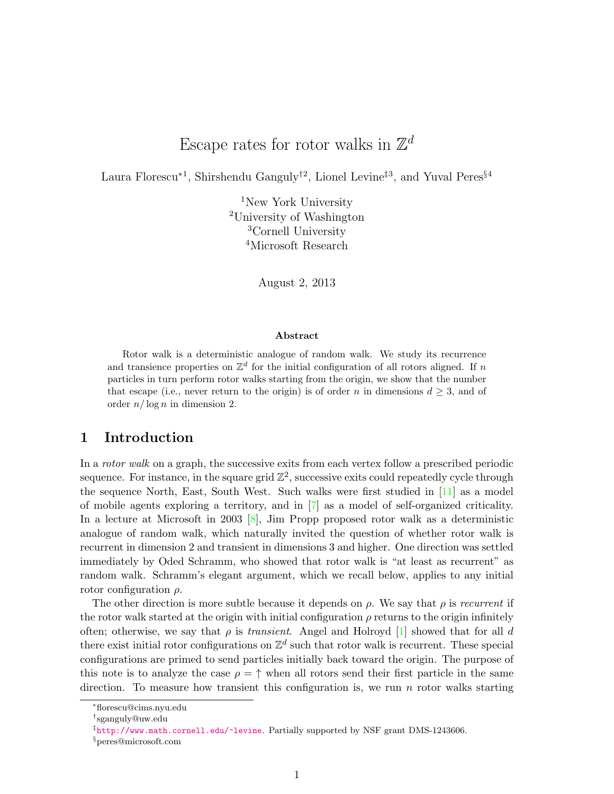# Escape rates for rotor walks in  $\mathbb{Z}^d$

Laura Florescu<sup>∗1</sup>, Shirshendu Ganguly<sup>†2</sup>, Lionel Levine<sup>‡3</sup>, and Yuval Peres<sup>§4</sup>

New York University University of Washington Cornell University Microsoft Research

August 2, 2013

#### Abstract

Rotor walk is a deterministic analogue of random walk. We study its recurrence and transience properties on  $\mathbb{Z}^d$  for the initial configuration of all rotors aligned. If n particles in turn perform rotor walks starting from the origin, we show that the number that escape (i.e., never return to the origin) is of order n in dimensions  $d \geq 3$ , and of order  $n/\log n$  in dimension 2.

### 1 Introduction

In a *rotor walk* on a graph, the successive exits from each vertex follow a prescribed periodic sequence. For instance, in the square grid  $\mathbb{Z}^2$ , successive exits could repeatedly cycle through the sequence North, East, South West. Such walks were first studied in [\[11\]](#page-12-0) as a model of mobile agents exploring a territory, and in [\[7\]](#page-12-1) as a model of self-organized criticality. In a lecture at Microsoft in 2003  $[8]$ , Jim Propp proposed rotor walk as a deterministic analogue of random walk, which naturally invited the question of whether rotor walk is recurrent in dimension 2 and transient in dimensions 3 and higher. One direction was settled immediately by Oded Schramm, who showed that rotor walk is "at least as recurrent" as random walk. Schramm's elegant argument, which we recall below, applies to any initial rotor configuration  $\rho$ .

The other direction is more subtle because it depends on  $\rho$ . We say that  $\rho$  is recurrent if the rotor walk started at the origin with initial configuration  $\rho$  returns to the origin infinitely often; otherwise, we say that  $\rho$  is *transient*. Angel and Holroyd [\[1\]](#page-11-0) showed that for all d there exist initial rotor configurations on  $\mathbb{Z}^d$  such that rotor walk is recurrent. These special configurations are primed to send particles initially back toward the origin. The purpose of this note is to analyze the case  $\rho = \uparrow$  when all rotors send their first particle in the same direction. To measure how transient this configuration is, we run  $n$  rotor walks starting

<sup>∗</sup>florescu@cims.nyu.edu

<sup>†</sup> sganguly@uw.edu

<sup>‡</sup> <http://www.math.cornell.edu/~levine>. Partially supported by NSF grant DMS-1243606.

<sup>§</sup>peres@microsoft.com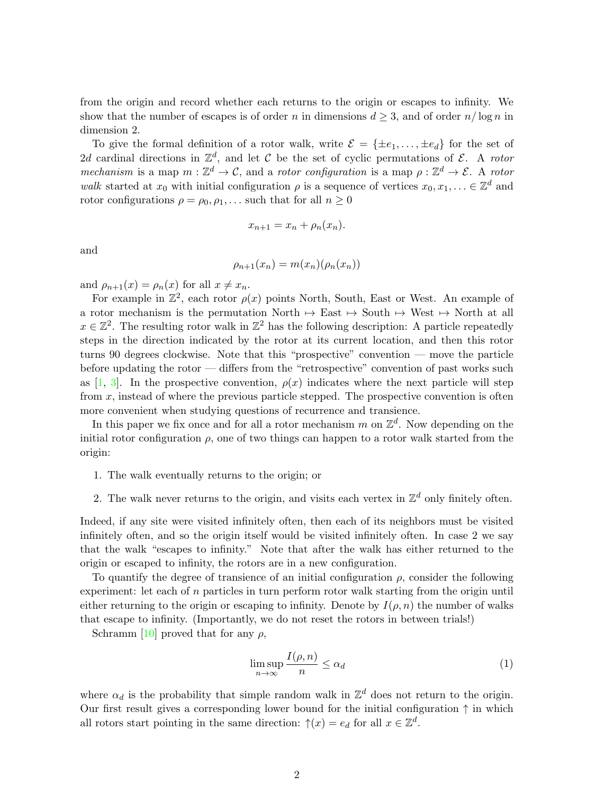from the origin and record whether each returns to the origin or escapes to infinity. We show that the number of escapes is of order n in dimensions  $d \geq 3$ , and of order  $n/\log n$  in dimension 2.

To give the formal definition of a rotor walk, write  $\mathcal{E} = \{\pm e_1, \dots, \pm e_d\}$  for the set of 2d cardinal directions in  $\mathbb{Z}^d$ , and let C be the set of cyclic permutations of E. A rotor mechanism is a map  $m : \mathbb{Z}^d \to \mathcal{C}$ , and a rotor configuration is a map  $\rho : \mathbb{Z}^d \to \mathcal{E}$ . A rotor walk started at  $x_0$  with initial configuration  $\rho$  is a sequence of vertices  $x_0, x_1, \ldots \in \mathbb{Z}^d$  and rotor configurations  $\rho = \rho_0, \rho_1, \ldots$  such that for all  $n \geq 0$ 

$$
x_{n+1} = x_n + \rho_n(x_n).
$$

and

$$
\rho_{n+1}(x_n) = m(x_n)(\rho_n(x_n))
$$

and  $\rho_{n+1}(x) = \rho_n(x)$  for all  $x \neq x_n$ .

For example in  $\mathbb{Z}^2$ , each rotor  $\rho(x)$  points North, South, East or West. An example of a rotor mechanism is the permutation North  $\rightarrow$  East  $\rightarrow$  South  $\rightarrow$  West  $\rightarrow$  North at all  $x \in \mathbb{Z}^2$ . The resulting rotor walk in  $\mathbb{Z}^2$  has the following description: A particle repeatedly steps in the direction indicated by the rotor at its current location, and then this rotor turns 90 degrees clockwise. Note that this "prospective" convention — move the particle before updating the rotor — differs from the "retrospective" convention of past works such as [\[1,](#page-11-0) [3\]](#page-11-1). In the prospective convention,  $\rho(x)$  indicates where the next particle will step from x, instead of where the previous particle stepped. The prospective convention is often more convenient when studying questions of recurrence and transience.

In this paper we fix once and for all a rotor mechanism m on  $\mathbb{Z}^d$ . Now depending on the initial rotor configuration  $\rho$ , one of two things can happen to a rotor walk started from the origin:

- 1. The walk eventually returns to the origin; or
- 2. The walk never returns to the origin, and visits each vertex in  $\mathbb{Z}^d$  only finitely often.

Indeed, if any site were visited infinitely often, then each of its neighbors must be visited infinitely often, and so the origin itself would be visited infinitely often. In case 2 we say that the walk "escapes to infinity." Note that after the walk has either returned to the origin or escaped to infinity, the rotors are in a new configuration.

To quantify the degree of transience of an initial configuration  $\rho$ , consider the following experiment: let each of  $n$  particles in turn perform rotor walk starting from the origin until either returning to the origin or escaping to infinity. Denote by  $I(\rho, n)$  the number of walks that escape to infinity. (Importantly, we do not reset the rotors in between trials!)

Schramm [\[10\]](#page-12-3) proved that for any  $\rho$ ,

<span id="page-1-0"></span>
$$
\limsup_{n \to \infty} \frac{I(\rho, n)}{n} \le \alpha_d \tag{1}
$$

where  $\alpha_d$  is the probability that simple random walk in  $\mathbb{Z}^d$  does not return to the origin. Our first result gives a corresponding lower bound for the initial configuration  $\uparrow$  in which all rotors start pointing in the same direction:  $\uparrow(x) = e_d$  for all  $x \in \mathbb{Z}^d$ .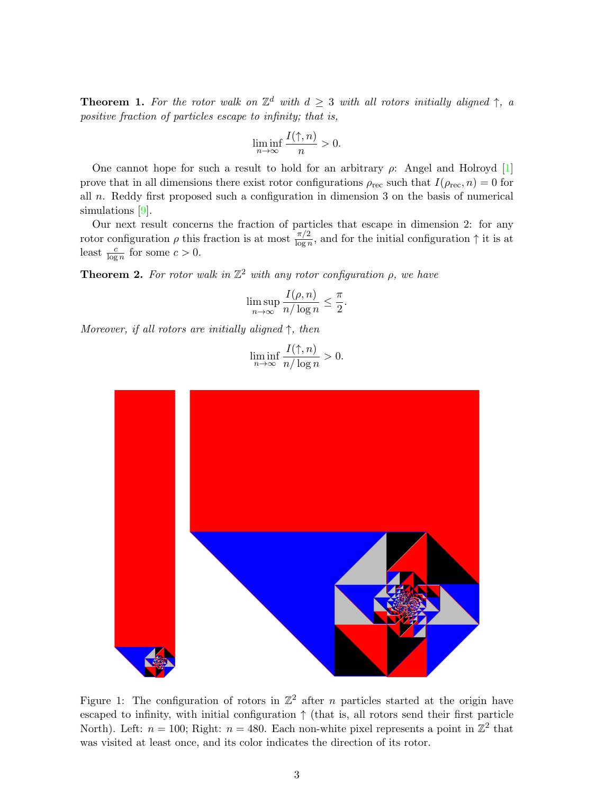<span id="page-2-0"></span>**Theorem 1.** For the rotor walk on  $\mathbb{Z}^d$  with  $d \geq 3$  with all rotors initially aligned  $\uparrow$ , a positive fraction of particles escape to infinity; that is,

$$
\liminf_{n \to \infty} \frac{I(\uparrow, n)}{n} > 0.
$$

One cannot hope for such a result to hold for an arbitrary  $\rho$ : Angel and Holroyd [\[1\]](#page-11-0) prove that in all dimensions there exist rotor configurations  $\rho_{\text{rec}}$  such that  $I(\rho_{\text{rec}}, n) = 0$  for all n. Reddy first proposed such a configuration in dimension 3 on the basis of numerical simulations [\[9\]](#page-12-4).

Our next result concerns the fraction of particles that escape in dimension 2: for any rotor configuration  $\rho$  this fraction is at most  $\frac{\pi/2}{\log n}$ , and for the initial configuration  $\uparrow$  it is at least  $\frac{c}{\log n}$  for some  $c > 0$ .

<span id="page-2-1"></span>**Theorem 2.** For rotor walk in  $\mathbb{Z}^2$  with any rotor configuration  $\rho$ , we have

$$
\limsup_{n \to \infty} \frac{I(\rho, n)}{n/\log n} \le \frac{\pi}{2}.
$$

Moreover, if all rotors are initially aligned  $\uparrow$ , then

$$
\liminf_{n \to \infty} \frac{I(\uparrow, n)}{n/\log n} > 0.
$$



<span id="page-2-2"></span>Figure 1: The configuration of rotors in  $\mathbb{Z}^2$  after *n* particles started at the origin have escaped to infinity, with initial configuration ↑ (that is, all rotors send their first particle North). Left:  $n = 100$ ; Right:  $n = 480$ . Each non-white pixel represents a point in  $\mathbb{Z}^2$  that was visited at least once, and its color indicates the direction of its rotor.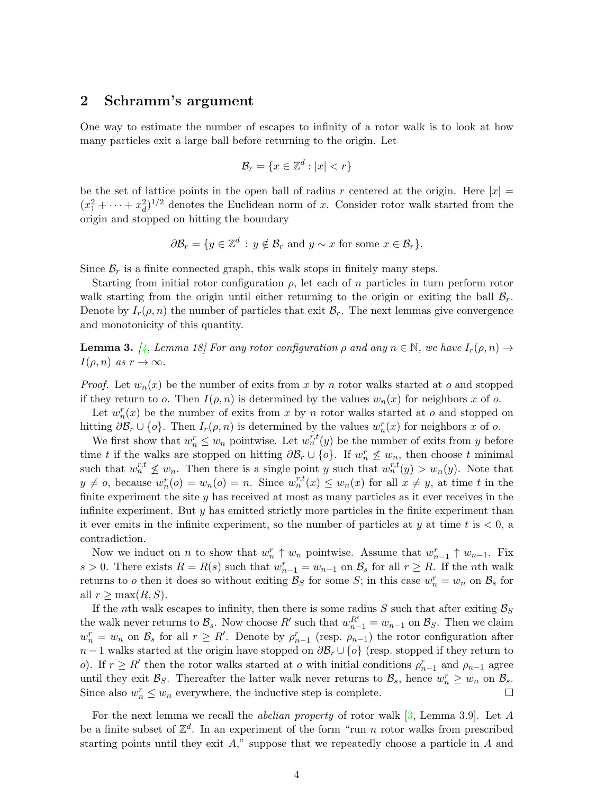### 2 Schramm's argument

One way to estimate the number of escapes to infinity of a rotor walk is to look at how many particles exit a large ball before returning to the origin. Let

$$
\mathcal{B}_r = \{ x \in \mathbb{Z}^d : |x| < r \}
$$

be the set of lattice points in the open ball of radius r centered at the origin. Here  $|x| =$  $(x_1^2 + \cdots + x_d^2)^{1/2}$  denotes the Euclidean norm of x. Consider rotor walk started from the origin and stopped on hitting the boundary

$$
\partial \mathcal{B}_r = \{ y \in \mathbb{Z}^d : y \notin \mathcal{B}_r \text{ and } y \sim x \text{ for some } x \in \mathcal{B}_r \}.
$$

Since  $\mathcal{B}_r$  is a finite connected graph, this walk stops in finitely many steps.

Starting from initial rotor configuration  $\rho$ , let each of n particles in turn perform rotor walk starting from the origin until either returning to the origin or exiting the ball  $B_r$ . Denote by  $I_r(\rho, n)$  the number of particles that exit  $\mathcal{B}_r$ . The next lemmas give convergence and monotonicity of this quantity.

<span id="page-3-0"></span>**Lemma 3.** [\[4,](#page-11-2) Lemma 18] For any rotor configuration  $\rho$  and any  $n \in \mathbb{N}$ , we have  $I_r(\rho, n) \to$  $I(\rho, n)$  as  $r \to \infty$ .

*Proof.* Let  $w_n(x)$  be the number of exits from x by n rotor walks started at o and stopped if they return to o. Then  $I(\rho, n)$  is determined by the values  $w_n(x)$  for neighbors x of o.

Let  $w_n^r(x)$  be the number of exits from x by n rotor walks started at o and stopped on hitting  $\partial \mathcal{B}_r \cup \{o\}$ . Then  $I_r(\rho, n)$  is determined by the values  $w_n^r(x)$  for neighbors x of o.

We first show that  $w_n^r \leq w_n$  pointwise. Let  $w_n^{r,t}(y)$  be the number of exits from y before time t if the walks are stopped on hitting  $\partial \mathcal{B}_r \cup \{o\}$ . If  $w_n^r \nleq w_n$ , then choose t minimal such that  $w_n^{r,t} \nleq w_n$ . Then there is a single point y such that  $w_n^{r,t}(y) > w_n(y)$ . Note that  $y \neq o$ , because  $w_n^r(o) = w_n(o) = n$ . Since  $w_n^{r,t}(x) \leq w_n(x)$  for all  $x \neq y$ , at time t in the finite experiment the site  $y$  has received at most as many particles as it ever receives in the infinite experiment. But y has emitted strictly more particles in the finite experiment than it ever emits in the infinite experiment, so the number of particles at y at time t is  $< 0$ , a contradiction.

Now we induct on *n* to show that  $w_n^r \uparrow w_n$  pointwise. Assume that  $w_{n-1}^r \uparrow w_{n-1}$ . Fix s > 0. There exists  $R = R(s)$  such that  $w_{n-1}^r = w_{n-1}$  on  $\mathcal{B}_s$  for all  $r \ge R$ . If the nth walk returns to *o* then it does so without exiting  $\mathcal{B}_S$  for some *S*; in this case  $w_n^r = w_n$  on  $\mathcal{B}_s$  for all  $r \geq \max(R, S)$ .

If the nth walk escapes to infinity, then there is some radius S such that after exiting  $\mathcal{B}_S$ the walk never returns to  $\mathcal{B}_s$ . Now choose  $R'$  such that  $w_{n-1}^{R'} = w_{n-1}$  on  $\mathcal{B}_S$ . Then we claim  $w_n^r = w_n$  on  $\mathcal{B}_s$  for all  $r \geq R'$ . Denote by  $\rho_{n-1}^r$  (resp.  $\rho_{n-1}$ ) the rotor configuration after  $n-1$  walks started at the origin have stopped on  $\partial \mathcal{B}_r \cup \{o\}$  (resp. stopped if they return to o). If  $r \geq R'$  then the rotor walks started at o with initial conditions  $\rho_{n-1}^r$  and  $\rho_{n-1}$  agree until they exit  $\mathcal{B}_S$ . Thereafter the latter walk never returns to  $\mathcal{B}_s$ , hence  $w_n^r \geq w_n$  on  $\mathcal{B}_s$ . Since also  $w_n^r \leq w_n$  everywhere, the inductive step is complete.  $\Box$ 

For the next lemma we recall the abelian property of rotor walk [\[3,](#page-11-1) Lemma 3.9]. Let A be a finite subset of  $\mathbb{Z}^d$ . In an experiment of the form "run n rotor walks from prescribed starting points until they exit  $A$ ," suppose that we repeatedly choose a particle in  $A$  and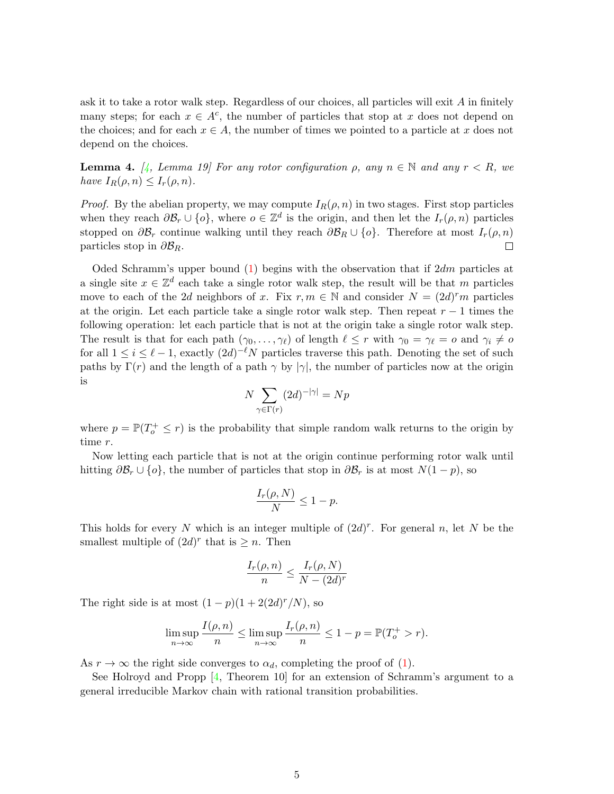ask it to take a rotor walk step. Regardless of our choices, all particles will exit A in finitely many steps; for each  $x \in A^c$ , the number of particles that stop at x does not depend on the choices; and for each  $x \in A$ , the number of times we pointed to a particle at x does not depend on the choices.

<span id="page-4-0"></span>**Lemma 4.** [\[4,](#page-11-2) Lemma 19] For any rotor configuration  $\rho$ , any  $n \in \mathbb{N}$  and any  $r < R$ , we have  $I_R(\rho, n) \leq I_r(\rho, n)$ .

*Proof.* By the abelian property, we may compute  $I_R(\rho, n)$  in two stages. First stop particles when they reach  $\partial \mathcal{B}_r \cup \{o\}$ , where  $o \in \mathbb{Z}^d$  is the origin, and then let the  $I_r(\rho, n)$  particles stopped on  $\partial \mathcal{B}_r$  continue walking until they reach  $\partial \mathcal{B}_R \cup \{o\}$ . Therefore at most  $I_r(\rho,n)$ particles stop in  $\partial \mathcal{B}_R$ .

Oded Schramm's upper bound [\(1\)](#page-1-0) begins with the observation that if  $2dm$  particles at a single site  $x \in \mathbb{Z}^d$  each take a single rotor walk step, the result will be that m particles move to each of the 2d neighbors of x. Fix  $r, m \in \mathbb{N}$  and consider  $N = (2d)^{r} m$  particles at the origin. Let each particle take a single rotor walk step. Then repeat  $r - 1$  times the following operation: let each particle that is not at the origin take a single rotor walk step. The result is that for each path  $(\gamma_0, \ldots, \gamma_\ell)$  of length  $\ell \leq r$  with  $\gamma_0 = \gamma_\ell = o$  and  $\gamma_i \neq o$ for all  $1 \leq i \leq \ell - 1$ , exactly  $(2d)^{-\ell}N$  particles traverse this path. Denoting the set of such paths by  $\Gamma(r)$  and the length of a path  $\gamma$  by  $|\gamma|$ , the number of particles now at the origin is

$$
N \sum_{\gamma \in \Gamma(r)} (2d)^{-|\gamma|} = Np
$$

where  $p = \mathbb{P}(T_o^+ \leq r)$  is the probability that simple random walk returns to the origin by time r.

Now letting each particle that is not at the origin continue performing rotor walk until hitting  $\partial \mathcal{B}_r \cup \{o\}$ , the number of particles that stop in  $\partial \mathcal{B}_r$  is at most  $N(1-p)$ , so

$$
\frac{I_r(\rho, N)}{N} \le 1 - p.
$$

This holds for every N which is an integer multiple of  $(2d)^r$ . For general n, let N be the smallest multiple of  $(2d)^r$  that is  $\geq n$ . Then

$$
\frac{I_r(\rho, n)}{n} \le \frac{I_r(\rho, N)}{N - (2d)^r}
$$

The right side is at most  $(1-p)(1+2(2d)^r/N)$ , so

$$
\limsup_{n \to \infty} \frac{I(\rho, n)}{n} \le \limsup_{n \to \infty} \frac{I_r(\rho, n)}{n} \le 1 - p = \mathbb{P}(T_o^+ > r).
$$

As  $r \to \infty$  the right side converges to  $\alpha_d$ , completing the proof of [\(1\)](#page-1-0).

See Holroyd and Propp [\[4,](#page-11-2) Theorem 10] for an extension of Schramm's argument to a general irreducible Markov chain with rational transition probabilities.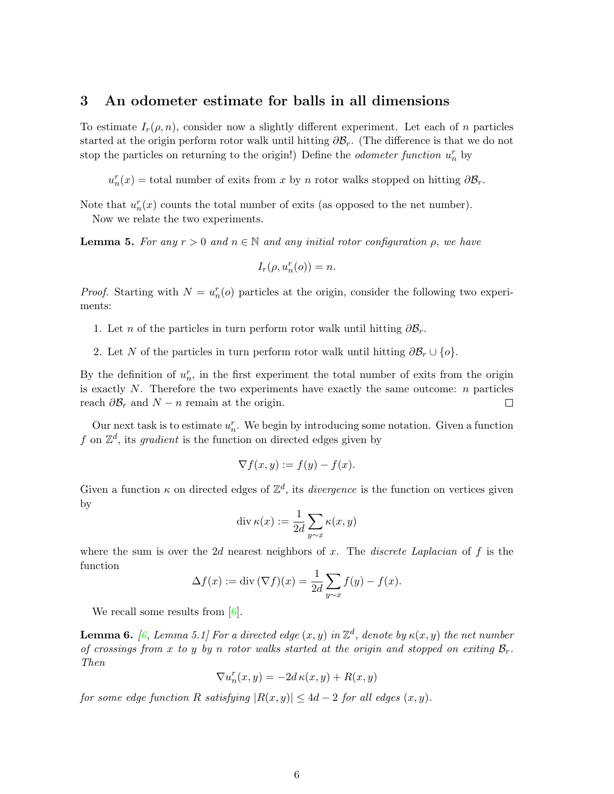### 3 An odometer estimate for balls in all dimensions

To estimate  $I_r(\rho, n)$ , consider now a slightly different experiment. Let each of n particles started at the origin perform rotor walk until hitting  $\partial \mathcal{B}_r$ . (The difference is that we do not stop the particles on returning to the origin!) Define the *odometer function*  $u_n^r$  by

 $u_n^r(x) =$  total number of exits from x by n rotor walks stopped on hitting  $\partial \mathcal{B}_r$ .

Note that  $u_n^r(x)$  counts the total number of exits (as opposed to the net number). Now we relate the two experiments.

<span id="page-5-1"></span>**Lemma 5.** For any  $r > 0$  and  $n \in \mathbb{N}$  and any initial rotor configuration  $\rho$ , we have

$$
I_r(\rho, u_n^r(o)) = n.
$$

*Proof.* Starting with  $N = u_n^r(o)$  particles at the origin, consider the following two experiments:

1. Let *n* of the particles in turn perform rotor walk until hitting  $\partial \mathcal{B}_r$ .

2. Let N of the particles in turn perform rotor walk until hitting  $\partial \mathcal{B}_r \cup \{o\}.$ 

By the definition of  $u_n^r$ , in the first experiment the total number of exits from the origin is exactly  $N$ . Therefore the two experiments have exactly the same outcome:  $n$  particles reach  $\partial \mathcal{B}_r$  and  $N - n$  remain at the origin.  $\Box$ 

Our next task is to estimate  $u_n^r$ . We begin by introducing some notation. Given a function f on  $\mathbb{Z}^d$ , its gradient is the function on directed edges given by

$$
\nabla f(x, y) := f(y) - f(x).
$$

Given a function  $\kappa$  on directed edges of  $\mathbb{Z}^d$ , its *divergence* is the function on vertices given by

$$
\operatorname{div} \kappa(x) := \frac{1}{2d} \sum_{y \sim x} \kappa(x, y)
$$

where the sum is over the 2d nearest neighbors of x. The discrete Laplacian of  $f$  is the function

$$
\Delta f(x) := \text{div}(\nabla f)(x) = \frac{1}{2d} \sum_{y \sim x} f(y) - f(x).
$$

We recall some results from  $[6]$ .

<span id="page-5-0"></span>**Lemma 6.** [\[6,](#page-12-5) Lemma 5.1] For a directed edge  $(x, y)$  in  $\mathbb{Z}^d$ , denote by  $\kappa(x, y)$  the net number of crossings from x to y by n rotor walks started at the origin and stopped on exiting  $\mathcal{B}_r$ . Then

$$
\nabla u_n^r(x,y) = -2d\,\kappa(x,y) + R(x,y)
$$

for some edge function R satisfying  $|R(x, y)| \leq 4d - 2$  for all edges  $(x, y)$ .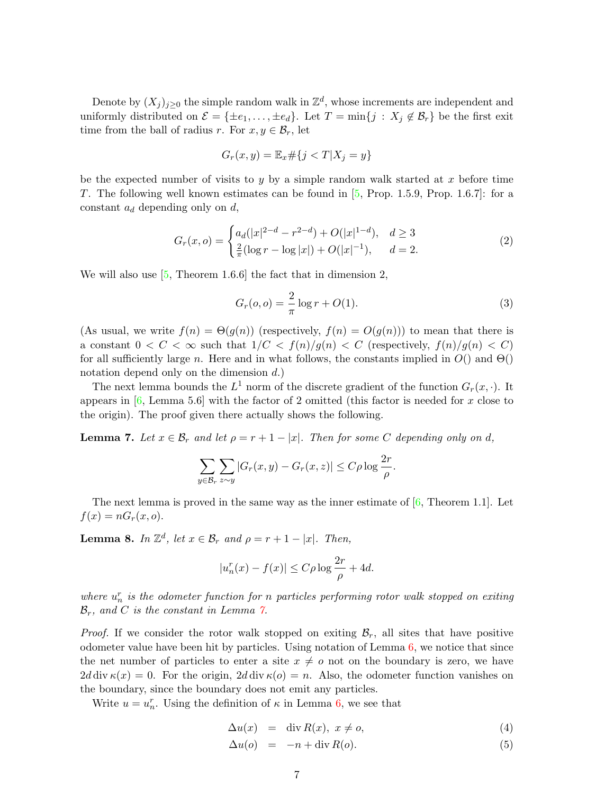Denote by  $(X_j)_{j\geq 0}$  the simple random walk in  $\mathbb{Z}^d$ , whose increments are independent and uniformly distributed on  $\mathcal{E} = {\pm e_1, \ldots, \pm e_d}$ . Let  $T = \min\{j : X_j \notin \mathcal{B}_r\}$  be the first exit time from the ball of radius r. For  $x, y \in \mathcal{B}_r$ , let

$$
G_r(x, y) = \mathbb{E}_x \# \{ j < T | X_j = y \}
$$

be the expected number of visits to y by a simple random walk started at x before time T. The following well known estimates can be found in [\[5,](#page-12-6) Prop. 1.5.9, Prop. 1.6.7]: for a constant  $a_d$  depending only on  $d$ ,

<span id="page-6-3"></span>
$$
G_r(x, o) = \begin{cases} a_d(|x|^{2-d} - r^{2-d}) + O(|x|^{1-d}), & d \ge 3\\ \frac{2}{\pi}(\log r - \log |x|) + O(|x|^{-1}), & d = 2. \end{cases}
$$
(2)

We will also use  $[5,$  Theorem 1.6.6 the fact that in dimension 2,

<span id="page-6-4"></span>
$$
G_r(o, o) = \frac{2}{\pi} \log r + O(1).
$$
 (3)

(As usual, we write  $f(n) = \Theta(g(n))$  (respectively,  $f(n) = O(g(n))$ ) to mean that there is a constant  $0 < C < \infty$  such that  $1/C < f(n)/g(n) < C$  (respectively,  $f(n)/g(n) < C$ ) for all sufficiently large n. Here and in what follows, the constants implied in  $O()$  and  $\Theta()$ notation depend only on the dimension d.)

The next lemma bounds the  $L^1$  norm of the discrete gradient of the function  $G_r(x, \cdot)$ . It appears in  $[6, \text{Lemma } 5.6]$  with the factor of 2 omitted (this factor is needed for x close to the origin). The proof given there actually shows the following.

<span id="page-6-0"></span>**Lemma 7.** Let  $x \in \mathcal{B}_r$  and let  $\rho = r + 1 - |x|$ . Then for some C depending only on d,

$$
\sum_{y \in \mathcal{B}_r} \sum_{z \sim y} |G_r(x, y) - G_r(x, z)| \le C\rho \log \frac{2r}{\rho}.
$$

The next lemma is proved in the same way as the inner estimate of  $[6,$  Theorem 1.1]. Let  $f(x) = nG_r(x, o).$ 

<span id="page-6-2"></span>**Lemma 8.** In  $\mathbb{Z}^d$ , let  $x \in \mathcal{B}_r$  and  $\rho = r + 1 - |x|$ . Then,

$$
|u_n^r(x) - f(x)| \le C\rho \log \frac{2r}{\rho} + 4d.
$$

where  $u_n^r$  is the odometer function for n particles performing rotor walk stopped on exiting  $\mathcal{B}_r$ , and C is the constant in Lemma  $\gamma$ .

*Proof.* If we consider the rotor walk stopped on exiting  $\mathcal{B}_r$ , all sites that have positive odometer value have been hit by particles. Using notation of Lemma [6,](#page-5-0) we notice that since the net number of particles to enter a site  $x \neq o$  not on the boundary is zero, we have 2d div  $\kappa(x) = 0$ . For the origin, 2d div  $\kappa(o) = n$ . Also, the odometer function vanishes on the boundary, since the boundary does not emit any particles.

Write  $u = u_n^r$ . Using the definition of  $\kappa$  in Lemma [6,](#page-5-0) we see that

<span id="page-6-1"></span>
$$
\Delta u(x) = \text{div } R(x), \ x \neq o,
$$
\n<sup>(4)</sup>

$$
\Delta u(o) = -n + \operatorname{div} R(o). \tag{5}
$$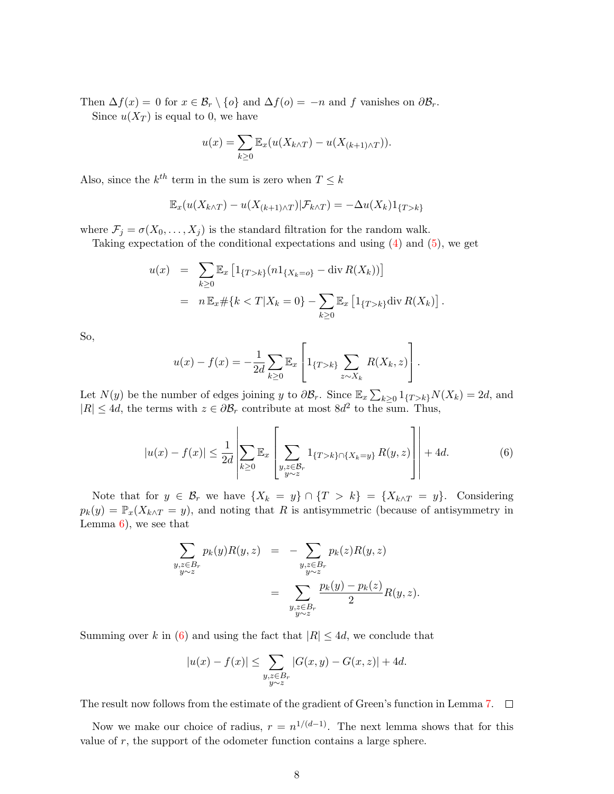Then  $\Delta f(x) = 0$  for  $x \in \mathcal{B}_r \setminus \{o\}$  and  $\Delta f(o) = -n$  and f vanishes on  $\partial \mathcal{B}_r$ . Since  $u(X_T)$  is equal to 0, we have

$$
u(x) = \sum_{k \ge 0} \mathbb{E}_x(u(X_{k \wedge T}) - u(X_{(k+1) \wedge T})).
$$

Also, since the  $k^{th}$  term in the sum is zero when  $T \leq k$ 

$$
\mathbb{E}_x(u(X_{k\wedge T})-u(X_{(k+1)\wedge T})|\mathcal{F}_{k\wedge T})=-\Delta u(X_k)1_{\{T>k\}}
$$

where  $\mathcal{F}_j = \sigma(X_0, \ldots, X_j)$  is the standard filtration for the random walk.

Taking expectation of the conditional expectations and using [\(4\)](#page-6-1) and [\(5\)](#page-6-1), we get

$$
u(x) = \sum_{k\geq 0} \mathbb{E}_x \left[ 1_{\{T > k\}} (n 1_{\{X_k = o\}} - \text{div } R(X_k)) \right]
$$
  
=  $n \mathbb{E}_x \# \{ k < T | X_k = 0 \} - \sum_{k\geq 0} \mathbb{E}_x \left[ 1_{\{T > k\}} \text{div } R(X_k) \right].$ 

So,

$$
u(x) - f(x) = -\frac{1}{2d} \sum_{k \ge 0} \mathbb{E}_x \left[ 1_{\{T > k\}} \sum_{z \sim X_k} R(X_k, z) \right].
$$

Let  $N(y)$  be the number of edges joining y to  $\partial \mathcal{B}_r$ . Since  $\mathbb{E}_x \sum_{k \geq 0} 1_{\{T > k\}} N(X_k) = 2d$ , and  $|R| \leq 4d$ , the terms with  $z \in \partial \mathcal{B}_r$  contribute at most  $8d^2$  to the sum. Thus,

<span id="page-7-0"></span>
$$
|u(x) - f(x)| \le \frac{1}{2d} \left| \sum_{k \ge 0} \mathbb{E}_x \left[ \sum_{\substack{y, z \in \mathcal{B}_r \\ y \sim z}} 1_{\{T > k\} \cap \{X_k = y\}} R(y, z) \right] \right| + 4d. \tag{6}
$$

Note that for  $y \in \mathcal{B}_r$  we have  $\{X_k = y\} \cap \{T > k\} = \{X_{k \wedge T} = y\}$ . Considering  $p_k(y) = \mathbb{P}_x(X_{k \wedge T} = y)$ , and noting that R is antisymmetric (because of antisymmetry in Lemma  $6$ , we see that

$$
\sum_{\substack{y,z \in B_r \\ y \sim z}} p_k(y) R(y,z) = -\sum_{\substack{y,z \in B_r \\ y \sim z}} p_k(z) R(y,z)
$$

$$
= \sum_{\substack{y,z \in B_r \\ y \sim z}} \frac{p_k(y) - p_k(z)}{2} R(y,z).
$$

Summing over k in [\(6\)](#page-7-0) and using the fact that  $|R| \leq 4d$ , we conclude that

$$
|u(x) - f(x)| \le \sum_{\substack{y,z \in B_r \\ y \sim z}} |G(x,y) - G(x,z)| + 4d.
$$

The result now follows from the estimate of the gradient of Green's function in Lemma [7.](#page-6-0)  $\Box$ 

Now we make our choice of radius,  $r = n^{1/(d-1)}$ . The next lemma shows that for this value of  $r$ , the support of the odometer function contains a large sphere.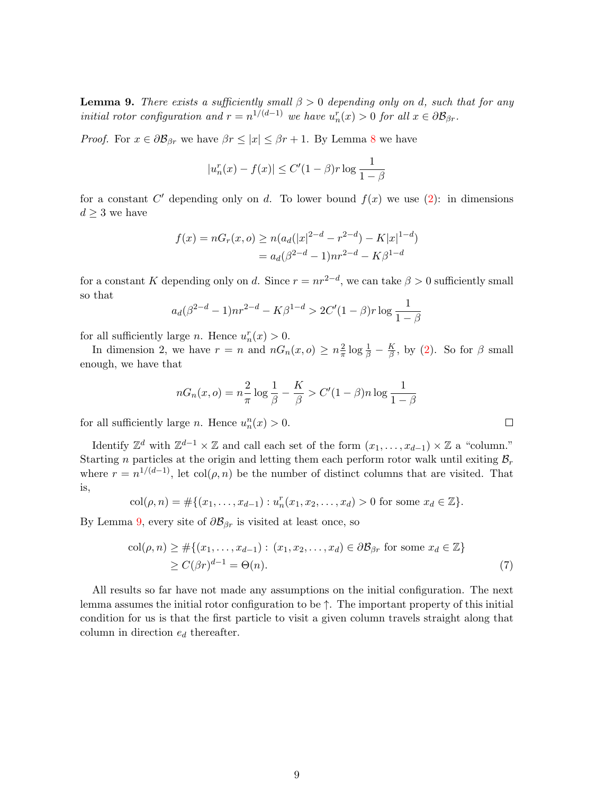<span id="page-8-0"></span>**Lemma 9.** There exists a sufficiently small  $\beta > 0$  depending only on d, such that for any initial rotor configuration and  $r = n^{1/(d-1)}$  we have  $u_n^r(x) > 0$  for all  $x \in \partial \mathcal{B}_{\beta r}$ .

*Proof.* For  $x \in \partial \mathcal{B}_{\beta r}$  we have  $\beta r \leq |x| \leq \beta r + 1$ . By Lemma [8](#page-6-2) we have

$$
|u_n^r(x) - f(x)| \le C'(1 - \beta)r \log \frac{1}{1 - \beta}
$$

for a constant C' depending only on d. To lower bound  $f(x)$  we use [\(2\)](#page-6-3): in dimensions  $d \geq 3$  we have

$$
f(x) = nG_r(x, o) \ge n(a_d(|x|^{2-d} - r^{2-d}) - K|x|^{1-d})
$$
  
=  $a_d(\beta^{2-d} - 1)nr^{2-d} - K\beta^{1-d}$ 

for a constant K depending only on d. Since  $r = nr^{2-d}$ , we can take  $\beta > 0$  sufficiently small so that

$$
a_d(\beta^{2-d}-1)nr^{2-d} - K\beta^{1-d} > 2C'(1-\beta)r \log \frac{1}{1-\beta}
$$

for all sufficiently large *n*. Hence  $u_n^r(x) > 0$ .

In dimension 2, we have  $r = n$  and  $nG_n(x, o) \geq n\frac{2}{\pi}$  $rac{2}{\pi} \log \frac{1}{\beta} - \frac{K}{\beta}$  $\frac{K}{\beta}$ , by [\(2\)](#page-6-3). So for  $\beta$  small enough, we have that

$$
nG_n(x, o) = n\frac{2}{\pi} \log \frac{1}{\beta} - \frac{K}{\beta} > C'(1 - \beta)n \log \frac{1}{1 - \beta}
$$

for all sufficiently large *n*. Hence  $u_n^n(x) > 0$ .

Identify  $\mathbb{Z}^d$  with  $\mathbb{Z}^{d-1}\times\mathbb{Z}$  and call each set of the form  $(x_1,\ldots,x_{d-1})\times\mathbb{Z}$  a "column." Starting n particles at the origin and letting them each perform rotor walk until exiting  $\mathcal{B}_r$ where  $r = n^{1/(d-1)}$ , let  $col(\rho, n)$  be the number of distinct columns that are visited. That is,

$$
col(\rho, n) = #\{(x_1, \ldots, x_{d-1}) : u_n^r(x_1, x_2, \ldots, x_d) > 0 \text{ for some } x_d \in \mathbb{Z}\}.
$$

By Lemma [9,](#page-8-0) every site of  $\partial \mathcal{B}_{\beta r}$  is visited at least once, so

$$
\operatorname{col}(\rho, n) \geq #\{(x_1, \dots, x_{d-1}) : (x_1, x_2, \dots, x_d) \in \partial \mathcal{B}_{\beta r} \text{ for some } x_d \in \mathbb{Z}\}\
$$
  

$$
\geq C(\beta r)^{d-1} = \Theta(n). \tag{7}
$$

All results so far have not made any assumptions on the initial configuration. The next lemma assumes the initial rotor configuration to be  $\uparrow$ . The important property of this initial condition for us is that the first particle to visit a given column travels straight along that column in direction  $e_d$  thereafter.

<span id="page-8-1"></span>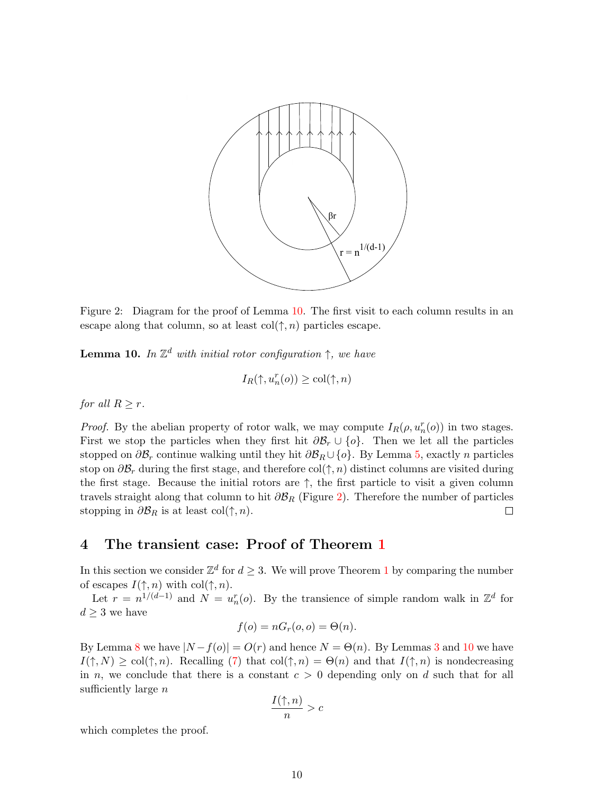

<span id="page-9-1"></span>Figure 2: Diagram for the proof of Lemma [10.](#page-9-0) The first visit to each column results in an escape along that column, so at least col $(\uparrow, n)$  particles escape.

<span id="page-9-0"></span>**Lemma 10.** In  $\mathbb{Z}^d$  with initial rotor configuration  $\uparrow$ , we have

$$
I_R(\uparrow, u_n^r(o)) \ge \text{col}(\uparrow, n)
$$

for all  $R \geq r$ .

*Proof.* By the abelian property of rotor walk, we may compute  $I_R(\rho, u_n^r(o))$  in two stages. First we stop the particles when they first hit  $\partial \mathcal{B}_r \cup \{o\}$ . Then we let all the particles stopped on  $\partial \mathcal{B}_r$  continue walking until they hit  $\partial \mathcal{B}_R \cup \{o\}$ . By Lemma [5,](#page-5-1) exactly n particles stop on  $\partial \mathcal{B}_r$  during the first stage, and therefore col( $\uparrow$ , n) distinct columns are visited during the first stage. Because the initial rotors are  $\uparrow$ , the first particle to visit a given column travels straight along that column to hit  $\partial \mathcal{B}_R$  (Figure [2\)](#page-9-1). Therefore the number of particles stopping in  $\partial \mathcal{B}_R$  is at least col( $\uparrow, n$ ).  $\Box$ 

## 4 The transient case: Proof of Theorem [1](#page-2-0)

In this section we consider  $\mathbb{Z}^d$  for  $d \geq 3$ . We will prove Theorem [1](#page-2-0) by comparing the number of escapes  $I(\uparrow, n)$  with col $(\uparrow, n)$ .

Let  $r = n^{1/(d-1)}$  and  $N = u_n^r(o)$ . By the transience of simple random walk in  $\mathbb{Z}^d$  for  $d \geq 3$  we have

$$
f(o) = nG_r(o, o) = \Theta(n).
$$

By Lemma [8](#page-6-2) we have  $|N - f(o)| = O(r)$  and hence  $N = \Theta(n)$ . By Lemmas [3](#page-3-0) and [10](#page-9-0) we have  $I(\uparrow, N) \geq \text{col}(\uparrow, n)$ . Recalling [\(7\)](#page-8-1) that  $\text{col}(\uparrow, n) = \Theta(n)$  and that  $I(\uparrow, n)$  is nondecreasing in n, we conclude that there is a constant  $c > 0$  depending only on d such that for all sufficiently large  $n$ 

$$
\frac{I(\uparrow,n)}{n}>c
$$

which completes the proof.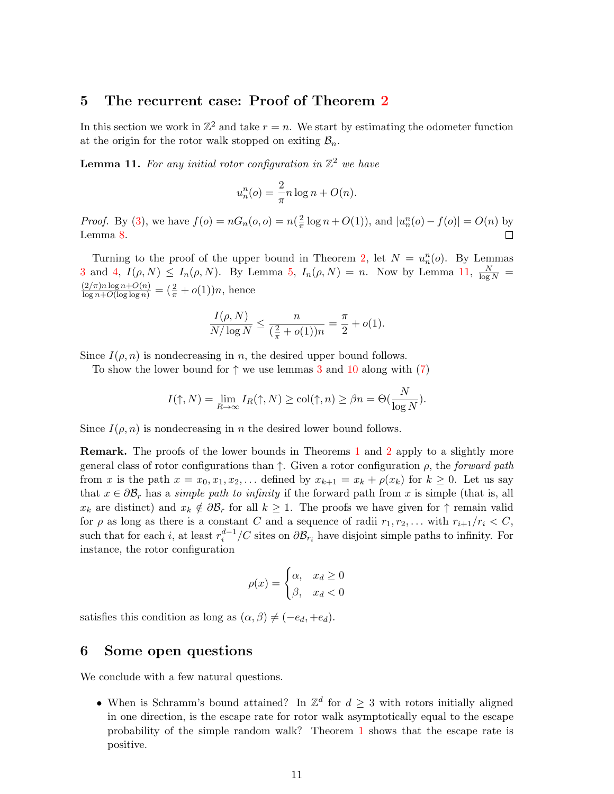### 5 The recurrent case: Proof of Theorem [2](#page-2-1)

In this section we work in  $\mathbb{Z}^2$  and take  $r = n$ . We start by estimating the odometer function at the origin for the rotor walk stopped on exiting  $\mathcal{B}_n$ .

<span id="page-10-0"></span>**Lemma 11.** For any initial rotor configuration in  $\mathbb{Z}^2$  we have

$$
u_n^n(o) = \frac{2}{\pi} n \log n + O(n).
$$

*Proof.* By [\(3\)](#page-6-4), we have  $f(o) = nG_n(o, o) = n\left(\frac{2}{\pi}\right)$  $\frac{2}{\pi} \log n + O(1)$ , and  $|u_n^n(o) - f(o)| = O(n)$  by Lemma [8.](#page-6-2) П

Turning to the proof of the upper bound in Theorem [2,](#page-2-1) let  $N = u_n^n(o)$ . By Lemmas [3](#page-3-0) and [4,](#page-4-0)  $I(\rho, N) \le I_n(\rho, N)$ . By Lemma [5,](#page-5-1)  $I_n(\rho, N) = n$ . Now by Lemma [11,](#page-10-0)  $\frac{N}{\log N} =$  $\frac{(2/\pi)n\log n+O(n)}{\log n+O(\log\log n)}=\left(\frac{2}{\pi}+o(1)\right)n,$  hence

$$
\frac{I(\rho, N)}{N/\log N} \le \frac{n}{(\frac{2}{\pi} + o(1))n} = \frac{\pi}{2} + o(1).
$$

Since  $I(\rho, n)$  is nondecreasing in n, the desired upper bound follows.

To show the lower bound for  $\uparrow$  we use lemmas [3](#page-3-0) and [10](#page-9-0) along with [\(7\)](#page-8-1)

$$
I(\uparrow, N) = \lim_{R \to \infty} I_R(\uparrow, N) \ge \text{col}(\uparrow, n) \ge \beta n = \Theta(\frac{N}{\log N}).
$$

Since  $I(\rho, n)$  is nondecreasing in n the desired lower bound follows.

Remark. The proofs of the lower bounds in Theorems [1](#page-2-0) and [2](#page-2-1) apply to a slightly more general class of rotor configurations than  $\uparrow$ . Given a rotor configuration  $\rho$ , the forward path from x is the path  $x = x_0, x_1, x_2, \ldots$  defined by  $x_{k+1} = x_k + \rho(x_k)$  for  $k \geq 0$ . Let us say that  $x \in \partial \mathcal{B}_r$  has a *simple path to infinity* if the forward path from x is simple (that is, all  $x_k$  are distinct) and  $x_k \notin \partial \mathcal{B}_r$  for all  $k \geq 1$ . The proofs we have given for  $\uparrow$  remain valid for  $\rho$  as long as there is a constant C and a sequence of radii  $r_1, r_2, \ldots$  with  $r_{i+1}/r_i \lt C$ , such that for each *i*, at least  $r_i^{d-1}/C$  sites on  $\partial \mathcal{B}_{r_i}$  have disjoint simple paths to infinity. For instance, the rotor configuration

$$
\rho(x) = \begin{cases} \alpha, & x_d \ge 0 \\ \beta, & x_d < 0 \end{cases}
$$

satisfies this condition as long as  $(\alpha, \beta) \neq (-e_d, +e_d)$ .

### 6 Some open questions

We conclude with a few natural questions.

• When is Schramm's bound attained? In  $\mathbb{Z}^d$  for  $d \geq 3$  with rotors initially aligned in one direction, is the escape rate for rotor walk asymptotically equal to the escape probability of the simple random walk? Theorem [1](#page-2-0) shows that the escape rate is positive.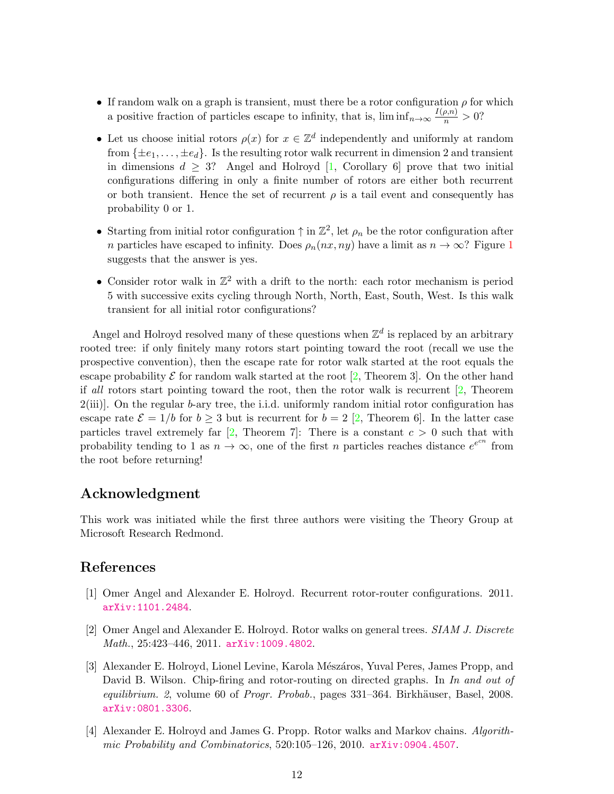- If random walk on a graph is transient, must there be a rotor configuration  $\rho$  for which a positive fraction of particles escape to infinity, that is,  $\liminf_{n\to\infty}\frac{I(\rho,n)}{n} > 0$ ?
- Let us choose initial rotors  $\rho(x)$  for  $x \in \mathbb{Z}^d$  independently and uniformly at random from  $\{\pm e_1, \ldots, \pm e_d\}$ . Is the resulting rotor walk recurrent in dimension 2 and transient in dimensions  $d \geq 3$ ? Angel and Holroyd [\[1,](#page-11-0) Corollary 6] prove that two initial configurations differing in only a finite number of rotors are either both recurrent or both transient. Hence the set of recurrent  $\rho$  is a tail event and consequently has probability 0 or 1.
- Starting from initial rotor configuration  $\uparrow$  in  $\mathbb{Z}^2$ , let  $\rho_n$  be the rotor configuration after n particles have escaped to infinity. Does  $\rho_n(nx, ny)$  have a limit as  $n \to \infty$ ? Figure [1](#page-2-2) suggests that the answer is yes.
- Consider rotor walk in  $\mathbb{Z}^2$  with a drift to the north: each rotor mechanism is period 5 with successive exits cycling through North, North, East, South, West. Is this walk transient for all initial rotor configurations?

Angel and Holroyd resolved many of these questions when  $\mathbb{Z}^d$  is replaced by an arbitrary rooted tree: if only finitely many rotors start pointing toward the root (recall we use the prospective convention), then the escape rate for rotor walk started at the root equals the escape probability  $\mathcal E$  for random walk started at the root [\[2,](#page-11-3) Theorem 3]. On the other hand if all rotors start pointing toward the root, then the rotor walk is recurrent [\[2,](#page-11-3) Theorem  $2(iii)$ . On the regular b-ary tree, the i.i.d. uniformly random initial rotor configuration has escape rate  $\mathcal{E} = 1/b$  for  $b \geq 3$  but is recurrent for  $b = 2$  [\[2,](#page-11-3) Theorem 6]. In the latter case particles travel extremely far  $[2,$  Theorem 7]: There is a constant  $c > 0$  such that with probability tending to 1 as  $n \to \infty$ , one of the first n particles reaches distance  $e^{e^{cn}}$  from the root before returning!

### Acknowledgment

This work was initiated while the first three authors were visiting the Theory Group at Microsoft Research Redmond.

### References

- <span id="page-11-0"></span>[1] Omer Angel and Alexander E. Holroyd. Recurrent rotor-router configurations. 2011. [arXiv:1101.2484](http://arxiv.org/abs/1101.2484).
- <span id="page-11-3"></span>[2] Omer Angel and Alexander E. Holroyd. Rotor walks on general trees. SIAM J. Discrete Math., 25:423–446, 2011. [arXiv:1009.4802](http://arxiv.org/abs/1009.4802).
- <span id="page-11-1"></span>[3] Alexander E. Holroyd, Lionel Levine, Karola Mészáros, Yuval Peres, James Propp, and David B. Wilson. Chip-firing and rotor-routing on directed graphs. In In and out of  $equilibrium. 2, volume 60 of Program. Problem, pages 331–364. Birkhäuser, Basel, 2008.$ [arXiv:0801.3306](http://arxiv.org/abs/0801.3306).
- <span id="page-11-2"></span>[4] Alexander E. Holroyd and James G. Propp. Rotor walks and Markov chains. Algorithmic Probability and Combinatorics, 520:105–126, 2010. [arXiv:0904.4507](http://arxiv.org/abs/0904.4507).